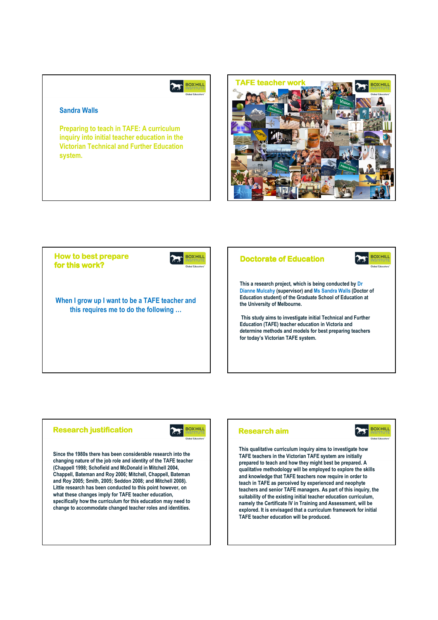#### **BOX HILL**  $\sum$

# Sandra Walls

Preparing to teach in TAFE: A curriculum inquiry into initial teacher education in the Victorian Technical and Further Education system.





## **Research justification**



Since the 1980s there has been considerable research into the changing nature of the job role and identity of the TAFE teacher (Chappell 1998; Schofield and McDonald in Mitchell 2004, Chappell, Bateman and Roy 2006; Mitchell, Chappell, Bateman and Roy 2005; Smith, 2005; Seddon 2008; and Mitchell 2008). Little research has been conducted to this point however, on what these changes imply for TAFE teacher education, specifically how the curriculum for this education may need to change to accommodate changed teacher roles and identities.

## **Research aim**



This qualitative curriculum inquiry aims to investigate how TAFE teachers in the Victorian TAFE system are initially prepared to teach and how they might best be prepared. A qualitative methodology will be employed to explore the skills and knowledge that TAFE teachers now require in order to teach in TAFE as perceived by experienced and neophyte teachers and senior TAFE managers. As part of this inquiry, the suitability of the existing initial teacher education curriculum, namely the Certificate IV in Training and Assessment, will be explored. It is envisaged that a curriculum framework for initial TAFE teacher education will be produced.